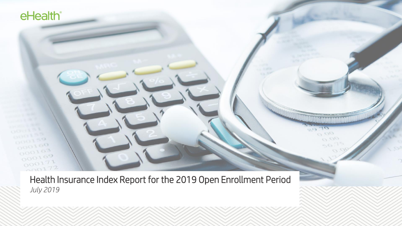Health Insurance Index Report for the 2019 Open Enrollment Period *July 2019*

 $O.$  $O$  $O$   $O$ 

 $r_{\rm m}$ 

eHealth®

 $000100$ 

 $000163$  $000169$  $000171$ 

 $172$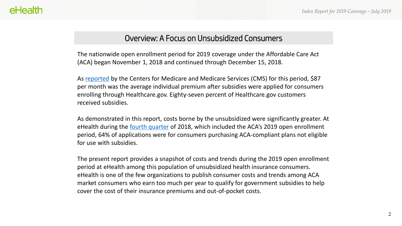### Overview: A Focus on Unsubsidized Consumers

The nationwide open enrollment period for 2019 coverage under the Affordable Care Act (ACA) began November 1, 2018 and continued through December 15, 2018.

As [reported](https://www.cms.gov/newsroom/fact-sheets/health-insurance-exchanges-2019-open-enrollment-report) by the Centers for Medicare and Medicare Services (CMS) for this period, \$87 per month was the average individual premium after subsidies were applied for consumers enrolling through Healthcare.gov. Eighty-seven percent of Healthcare.gov customers received subsidies.

As demonstrated in this report, costs borne by the unsubsidized were significantly greater. At eHealth during the [fourth quarter](https://news.ehealthinsurance.com/news/ehealth-inc-announces-fourth-quarter-and-fiscal-2018-results) of 2018, which included the ACA's 2019 open enrollment period, 64% of applications were for consumers purchasing ACA-compliant plans not eligible for use with subsidies.

The present report provides a snapshot of costs and trends during the 2019 open enrollment period at eHealth among this population of unsubsidized health insurance consumers. eHealth is one of the few organizations to publish consumer costs and trends among ACA market consumers who earn too much per year to qualify for government subsidies to help cover the cost of their insurance premiums and out-of-pocket costs.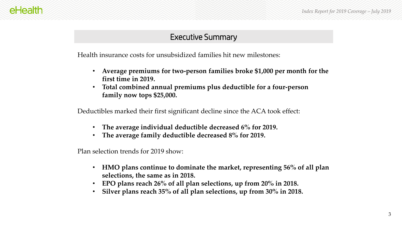### Executive Summary

Health insurance costs for unsubsidized families hit new milestones:

- **Average premiums for two-person families broke \$1,000 per month for the first time in 2019.**
- **Total combined annual premiums plus deductible for a four-person family now tops \$25,000.**

Deductibles marked their first significant decline since the ACA took effect:

- **The average individual deductible decreased 6% for 2019.**
- **The average family deductible decreased 8% for 2019.**

Plan selection trends for 2019 show:

- **HMO plans continue to dominate the market, representing 56% of all plan selections, the same as in 2018.**
- **EPO plans reach 26% of all plan selections, up from 20% in 2018.**
- **Silver plans reach 35% of all plan selections, up from 30% in 2018.**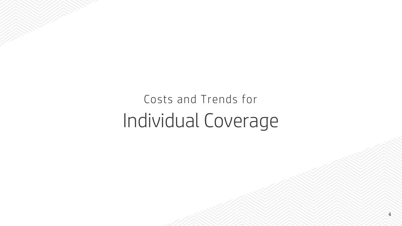# Costs and Trends for Individual Coverage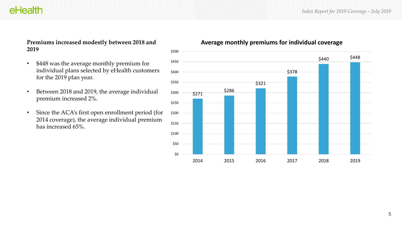# **2019**

- \$448 was the average monthly premium for individual plans selected by eHealth customers for the 2019 plan year.
- Between 2018 and 2019, the average individual premium increased 2%.
- Since the ACA's first open enrollment period (for 2014 coverage), the average individual premium has increased 65%.

#### **Premiums increased modestly between 2018 and Average monthly premiums for individual coverage**

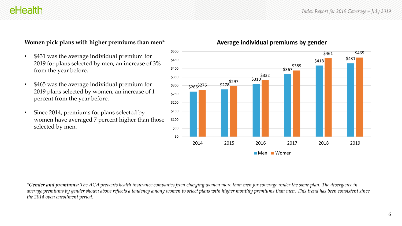#### **Women pick plans with higher premiums than men\***

- \$431 was the average individual premium for 2019 for plans selected by men, an increase of 3% from the year before.
- \$465 was the average individual premium for 2019 plans selected by women, an increase of 1 percent from the year before.
- Since 2014, premiums for plans selected by women have averaged 7 percent higher than those selected by men.

#### **Average individual premiums by gender**



*\*Gender and premiums: The ACA prevents health insurance companies from charging women more than men for coverage under the same plan. The divergence in average premiums by gender shown above reflects a tendency among women to select plans with higher monthly premiums than men. This trend has been consistent since the 2014 open enrollment period.*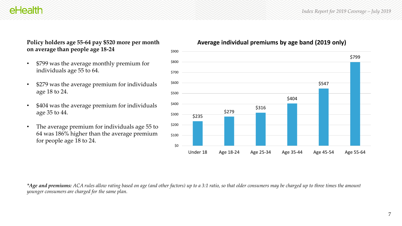#### **Policy holders age 55-64 pay \$520 more per month on average than people age 18-24**

- \$799 was the average monthly premium for individuals age 55 to 64.
- \$279 was the average premium for individuals age 18 to 24.
- \$404 was the average premium for individuals age 35 to 44.
- The average premium for individuals age 55 to 64 was 186% higher than the average premium for people age 18 to 24.

#### **Average individual premiums by age band (2019 only)**



*\*Age and premiums: ACA rules allow rating based on age (and other factors) up to a 3:1 ratio, so that older consumers may be charged up to three times the amount younger consumers are charged for the same plan.*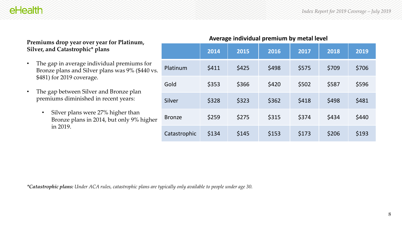#### **Premiums drop year over year for Platinum, Silver, and Catastrophic\* plans**

- The gap in average individual premiums for Bronze plans and Silver plans was 9% (\$440 vs. \$481) for 2019 coverage.
- The gap between Silver and Bronze plan premiums diminished in recent years:
	- Silver plans were 27% higher than Bronze plans in 2014, but only 9% higher in 2019.

| $1.11$ and $0.9$ and $1.01$ |       |       |       |       |       |       |  |  |
|-----------------------------|-------|-------|-------|-------|-------|-------|--|--|
|                             | 2014  | 2015  | 2016  | 2017  | 2018  | 2019  |  |  |
| Platinum                    | \$411 | \$425 | \$498 | \$575 | \$709 | \$706 |  |  |
| Gold                        | \$353 | \$366 | \$420 | \$502 | \$587 | \$596 |  |  |
| Silver                      | \$328 | \$323 | \$362 | \$418 | \$498 | \$481 |  |  |
| <b>Bronze</b>               | \$259 | \$275 | \$315 | \$374 | \$434 | \$440 |  |  |
| Catastrophic                | \$134 | \$145 | \$153 | \$173 | \$206 | \$193 |  |  |

#### **Average individual premium by metal level**

*\*Catastrophic plans: Under ACA rules, catastrophic plans are typically only available to people under age 30.*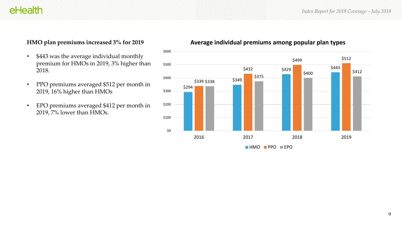#### **HMO plan premiums increased 3% for 2019**

- \$443 was the average individual monthly premium for HMOs in 2019, 3% higher than 2018.
- PPO premiums averaged \$512 per month in 2019, 16% higher than HMOs
- EPO premiums averaged \$412 per month in 2019, 7% lower than HMOs.

#### **Average individual premiums among popular plan types**

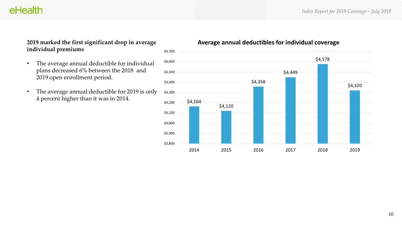# **individual premiums**

- The average annual deductible for individual plans decreased 6% between the 2018 and 2019 open enrollment period.
- The average annual deductible for 2019 is only 4 percent higher than it was in 2014.

#### **2019 marked the first significant drop in average Average annual deductibles for individual coverage**

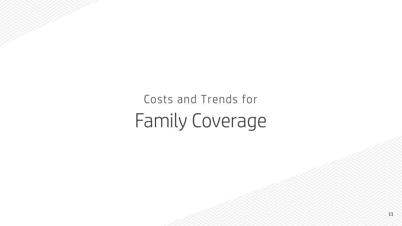# Costs and Trends for Family Coverage

11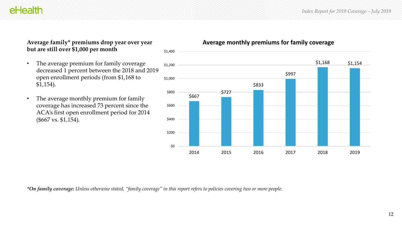#### **Average family\* premiums drop year over year but are still over \$1,000 per month**

- The average premium for family coverage decreased 1 percent between the 2018 and 2019 open enrollment periods (from \$1,168 to \$1,154).
- The average monthly premium for family coverage has increased 73 percent since the ACA's first open enrollment period for 2014 (\$667 vs. \$1,154).

### **Average monthly premiums for family coverage**



*\*On family coverage: Unless otherwise stated, "family coverage" in this report refers to policies covering two or more people.*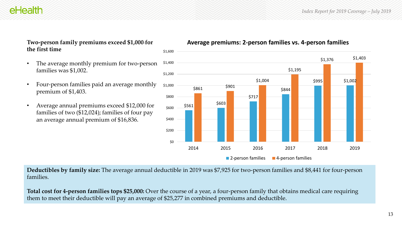**Two-person family premiums exceed \$1,000 for the first time**

- The average monthly premium for two-person families was \$1,002.
- Four-person families paid an average monthly premium of \$1,403.
- Average annual premiums exceed \$12,000 for families of two (\$12,024); families of four pay an average annual premium of \$16,836.

#### **Average premiums: 2-person families vs. 4-person families**



**Deductibles by family size:** The average annual deductible in 2019 was \$7,925 for two-person families and \$8,441 for four-person families.

**Total cost for 4-person families tops \$25,000:** Over the course of a year, a four-person family that obtains medical care requiring them to meet their deductible will pay an average of \$25,277 in combined premiums and deductible.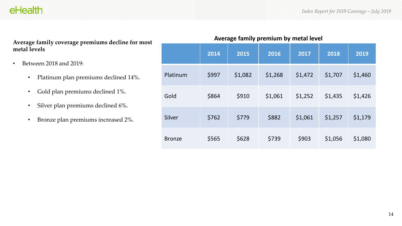- Between 2018 and 2019:
	- Platinum plan premiums declined 14%.
	- Gold plan premiums declined 1%.
	- Silver plan premiums declined 6%.
	- Bronze plan premiums increased 2%.

| Average family coverage premiums decline for most | Average family premium by metal level |       |         |         |         |         |         |  |
|---------------------------------------------------|---------------------------------------|-------|---------|---------|---------|---------|---------|--|
| metal levels                                      |                                       | 2014  | 2015    | 2016    | 2017    | 2018    | 2019    |  |
| Between 2018 and 2019:<br>$\bullet$               |                                       |       |         |         |         |         |         |  |
| Platinum plan premiums declined 14%.<br>$\bullet$ | Platinum                              | \$997 | \$1,082 | \$1,268 | \$1,472 | \$1,707 | \$1,460 |  |
| Gold plan premiums declined 1%.<br>$\bullet$      | Gold                                  | \$864 | \$910   | \$1,061 | \$1,252 | \$1,435 | \$1,426 |  |
| Silver plan premiums declined 6%.<br>$\bullet$    |                                       |       |         |         |         |         |         |  |
| Bronze plan premiums increased 2%.<br>$\bullet$   | Silver                                | \$762 | \$779   | \$882   | \$1,061 | \$1,257 | \$1,179 |  |
|                                                   | <b>Bronze</b>                         | \$565 | \$628   | \$739   | \$903   | \$1,056 | \$1,080 |  |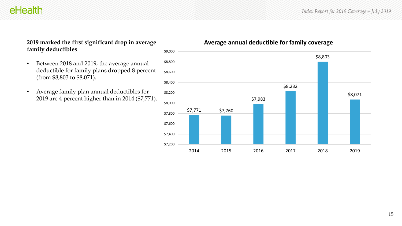#### **2019 marked the first significant drop in average family deductibles**

- Between 2018 and 2019, the average annual deductible for family plans dropped 8 percent (from \$8,803 to \$8,071).
- Average family plan annual deductibles for 2019 are 4 percent higher than in 2014 (\$7,771).

#### **Average annual deductible for family coverage**

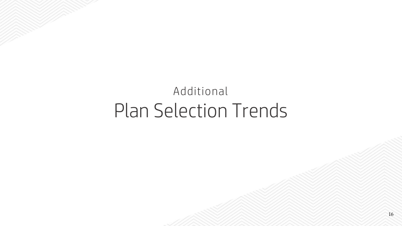# Additional Plan Selection Trends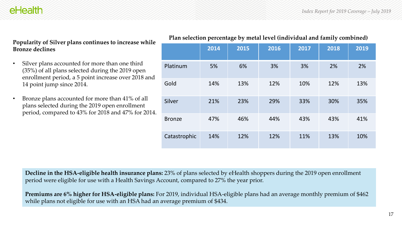**Popularity of Silver plans continues to increase while Bronze declines**

- Silver plans accounted for more than one third (35%) of all plans selected during the 2019 open enrollment period, a 5 point increase over 2018 and 14 point jump since 2014.
- Bronze plans accounted for more than 41% of all plans selected during the 2019 open enrollment period, compared to 43% for 2018 and 47% for 2014.

| -פי על <b>די</b> |      |      |      |      |      |      |  |  |
|------------------|------|------|------|------|------|------|--|--|
|                  | 2014 | 2015 | 2016 | 2017 | 2018 | 2019 |  |  |
| Platinum         | 5%   | 6%   | 3%   | 3%   | 2%   | 2%   |  |  |
| Gold             | 14%  | 13%  | 12%  | 10%  | 12%  | 13%  |  |  |
| Silver           | 21%  | 23%  | 29%  | 33%  | 30%  | 35%  |  |  |
| <b>Bronze</b>    | 47%  | 46%  | 44%  | 43%  | 43%  | 41%  |  |  |
| Catastrophic     | 14%  | 12%  | 12%  | 11%  | 13%  | 10%  |  |  |

**Decline in the HSA-eligible health insurance plans:** 23% of plans selected by eHealth shoppers during the 2019 open enrollment period were eligible for use with a Health Savings Account, compared to 27% the year prior.

**Premiums are 6% higher for HSA-eligible plans:** For 2019, individual HSA-eligible plans had an average monthly premium of \$462 while plans not eligible for use with an HSA had an average premium of \$434.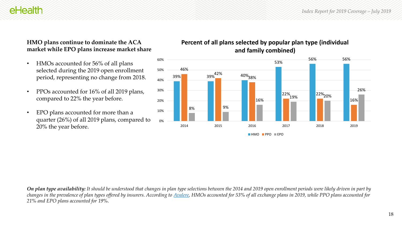#### **HMO plans continue to dominate the ACA market while EPO plans increase market share**

- HMOs accounted for 56% of all plans selected during the 2019 open enrollment period, representing no change from 2018.
- PPOs accounted for 16% of all 2019 plans, compared to 22% the year before.
- EPO plans accounted for more than a quarter (26%) of all 2019 plans, compared to 20% the year before.

#### **Percent of all plans selected by popular plan type (individual and family combined)**



*On plan type availability: It should be understood that changes in plan type selections between the 2014 and 2019 open enrollment periods were likely driven in part by changes in the prevalence of plan types offered by insurers. According to [Avalere](https://www.modernhealthcare.com/article/20181204/NEWS/181209976/most-aca-exchange-plans-feature-a-narrow-network), HMOs accounted for 53% of all exchange plans in 2019, while PPO plans accounted for 21% and EPO plans accounted for 19%.*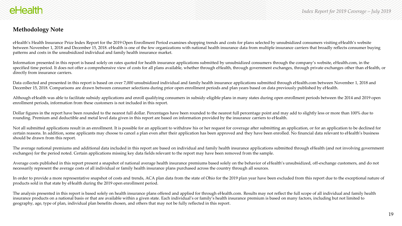#### **Methodology Note**

eHealth's Health Insurance Price Index Report for the 2019 Open Enrollment Period examines shopping trends and costs for plans selected by unsubsidized consumers visiting eHealth's website between November 1, 2018 and December 15, 2018. eHealth is one of the few organizations with national health insurance data from multiple insurance carriers that broadly reflects consumer buying patterns and costs in the unsubsidized individual and family health insurance market.

Information presented in this report is based solely on rates quoted for health insurance applications submitted by unsubsidized consumers through the company's website, eHealth.com, in the specified time period. It does not offer a comprehensive view of costs for all plans available, whether through eHealth, through government exchanges, through private exchanges other than eHealth, or directly from insurance carriers.

Data collected and presented in this report is based on over 7,000 unsubsidized individual and family health insurance applications submitted through eHealth.com between November 1, 2018 and December 15, 2018. Comparisons are drawn between consumer selections during prior open enrollment periods and plan years based on data previously published by eHealth.

Although eHealth was able to facilitate subsidy applications and enroll qualifying consumers in subsidy-eligible plans in many states during open enrollment periods between the 2014 and 2019 open enrollment periods, information from these customers is not included in this report.

Dollar figures in the report have been rounded to the nearest full dollar. Percentages have been rounded to the nearest full percentage point and may add to slightly less or more than 100% due to rounding. Premium and deductible and metal level data given in this report are based on information provided by the insurance carriers to eHealth.

Not all submitted applications result in an enrollment. It is possible for an applicant to withdraw his or her request for coverage after submitting an application, or for an application to be declined for certain reasons. In addition, some applicants may choose to cancel a plan even after their application has been approved and they have been enrolled. No financial data relevant to eHealth's business should be drawn from this report.

The average national premiums and additional data included in this report are based on individual and family health insurance applications submitted through eHealth (and not involving government exchanges) for the period noted. Certain applications missing key data fields relevant to the report may have been removed from the sample.

Average costs published in this report present a snapshot of national average health insurance premiums based solely on the behavior of eHealth's unsubsidized, off-exchange customers, and do not necessarily represent the average costs of all individual or family health insurance plans purchased across the country through all sources.

In order to provide a more representative snapshot of costs and trends, ACA plan data from the state of Ohio for the 2019 plan year have been excluded from this report due to the exceptional nature of products sold in that state by eHealth during the 2019 open enrollment period.

The analysis presented in this report is based solely on health insurance plans offered and applied for through eHealth.com. Results may not reflect the full scope of all individual and family health insurance products on a national basis or that are available within a given state. Each individual's or family's health insurance premium is based on many factors, including but not limited to geography, age, type of plan, individual plan benefits chosen, and others that may not be fully reflected in this report.